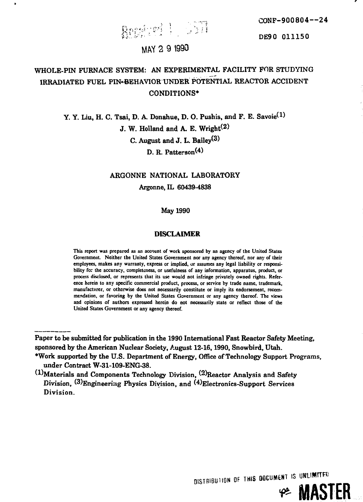*-\*-'-* **•\*• " \* ' " DE90 01115 0**

## **MAY 2 9 1990**

**,-,<•<• • \ • • \*?.\* • ' . '"".• ; s**

# **WHOLE-PIN FURNACE SYSTEM: AN EXPERIMENTAL FACILITY FOR STUDYING IRRADIATED FUEL PIN\*BEHAVIOR UNDER POTENTIAL REACTOR ACCIDENT CONDITIONS\***

**.r,}**

**Y. Y. Liu, H. C. Tsai, D. A. Donahue, D. O. Pushis, and F. E. Savoie\*<sup>1</sup> ) J. W. Holland and A. E. Wright^ C. August and J. L. Bailey^** D. R. Patterson<sup>(4)</sup>

## **ARGONNE NATIONAL LABORATORY Argonne, IL 60439-4838**

## **May 1990**

## **DISCLAIMER**

**This report was prepared as an account of work sponsored by an agency of the United States Government. Neither the United States Government nor any agency thereof, nor any of their employees, makes any warranty, express or implied, or assumes any legal liability or responsibility for the accuracy, completeness, or usefulness of any information, apparatus, product, or process disclosed, or represents that its use would not infringe privately owned rights. Reference herein to any specific commercial product, process, or service by trade name, trademark, manufacturer, or otherwise does not necessarily constitute or imply its endorsement, recommendation, or favoring by the United States Government or any agency thereof. The views and opinions of authors expressed herein do not necessarily state or reflect those of the United States Government or any agency thereof.**

**Paper to be submitted for publication in the 1990 International Fast Reactor Safety Meeting, sponsored by the American Nuclear Society, August 12-16,1990, Snowbird, Utah.**

**DISTRIBUTION OF THIS DOCUMENT IS**

**MASTER**

**<sup>\*</sup>Work supported by the U.S. Department of Energy, Office of Technology Support Programs, under Contract W-31-109-ENG-38.**

**<sup>(^</sup>Materials and Components Technology Division, ^)Reac tOr Analysis and Safety Division, (^Engineering Physics Division, and ^Electronics-Support Services Division.**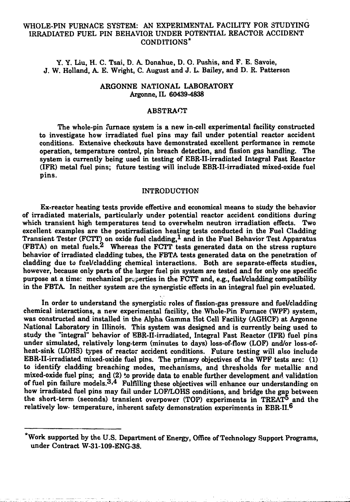## WHOLE-PIN FURNACE SYSTEM: AN EXPERIMENTAL FACILITY FOR STUDYING IRRADIATED FUEL PIN BEHAVIOR UNDER POTENTIAL REACTOR ACCIDENT CONDITIONS\*

Y. Y. Liu, H. C. Tsai, D. A Donahue, D. O. Pushis, and F. E. Savoie, J. W. Holland, A E. Wright, C. August and J. L. Bailey, and D. R. Patterson

## ARGONNE NATIONAL LABORATORY Argonne.IL 60439-4838

#### **ABSTRACT**

The whole-pin furnace system is a new in-cell experimental facility constructed to investigate how irradiated fuel pins may fail under potential reactor accident conditions. Extensive checkouts have demonstrated excellent performance in remote operation, temperature control, pin breach detection, and fission gas handling. The system is currently being used in testing of EBR-II-irradiated Integral Fast Reactor (IFR) metal fuel pins; future testing will include EBR-II-irradiated mixed-oxide fuel pins.

#### INTRODUCTION

Ex-reactor heating tests provide effective and economical means to study the behavior of irradiated materials, particularly under potential reactor accident conditions during which transient high temperatures tend to overwhelm neutron irradiation effects. Two excellent examples are the postirradiation heating tests conducted in the Fuel Cladding Transient Tester (FCTT) on oxide fuel cladding,  $^{1}$  and in the Fuel Behavior Test Apparatus (FBTA) on metal fuels.<sup>2</sup> Whereas the FCTT tests generated data on the stress rupture behavior of irradiated cladding tubes, the FBTA tests generated data on the penetration of cladding due to fuel/cladding chemical interactions. Both are separate-effects studies, however, because only parts of the larger fuel pin system are tested and for only one specific purpose at a time: mechanical properties in the FCTT and, e.g., fuel/cladding compatibility in the FBTA. In neither system are the synergistic effects in an integral fuel pin evaluated.

In order to understand the synergistic roles of fission-gas pressure and fuel/cladding chemical interactions, a new experimental facility, the Whole-Pin Furnace (WPF) system, was constructed and installed in the Alpha Gamma Hot Cell Facility (AGHCF) at Argonne National Laboratory in Illinois. This system was designed and is currently being used to study the "integral" behavior of EBR-II-irradiated, Integral Fast Reactor (IFR) fuel pins under simulated, relatively long-term (minutes to days) loss-of-flow (LOF) and/or loss-ofheat-sink (LOHS) types of reactor accident conditions. Future testing will also inelude EBR-II-irradiated mixed-oxide fuel pins. The primary objectives of the WPF tests are: (1) to identify cladding breaching modes, mechanisms, and thresholds for metallic and mixed-oxide fuel pins; and (2) to provide data to enable further development and validation of fuel pin failure models. $3.4$  Fulfilling these objectives will enhance our understanding on how irradiated fuel pins may fail under LOF/LOHS conditions, and bridge the gap between the short-term (seconds) transient overpower (TOP) experiments in TREAT<sup>5</sup> and the relatively low- temperature, inherent safety demonstration experiments in EBR-II.6

<sup>\*</sup>Work supported by the U.S. Department of Energy, Office of Technology Support Programs, under Contract W-31-109-ENG-38.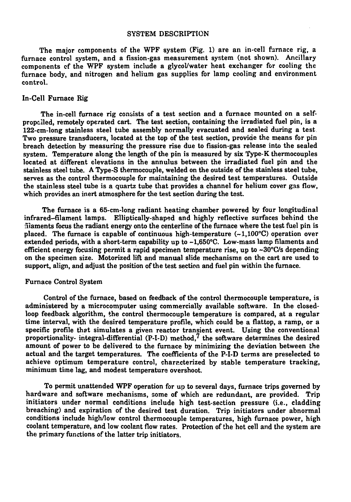#### SYSTEM DESCRIPTION

The major components of the WPF system (Fig. 1) are an in-cell furnace rig, a furnace control system, and a fission-gas measurement system (not shown). Ancillary components of the WPF system include a glycoVwater heat exchanger for cooling the furnace body, and nitrogen and helium gas supplies for lamp cooling and environment control.

## In-Cell Furnace Rig

The in-cell furnace rig consists of a test section and a furnace mounted on a selfpropclled, remotely operated cart. The test section, containing the irradiated fuel pin, is a 122-cm-long stainless steel tube assembly normally evacuated and sealed during a test Two pressure transducers, located at the top of the test section, provide the means for pin breach detection by measuring the pressure rise due to fission-gas release into the sealed system. Temperature along the length of the pin is measured by six Type-K thermocouples located at different elevations in the annulus between the irradiated fuel pin and the stainless steel tube. A Type-S thermocouple, welded on the outside of the stainless steel tube, serves as the control thermocouple for maintaining the desired test temperatures. Outside the stainless steel tube is a quartz tube that provides a channel for helium cover gas flow, which provides an inert atmosphere for the test section during the test.

The furnace is a 65-cm-long radiant heating chamber powered by four longitudinal infrared-filament lamps. Elliptically-shaped and highly reflective surfaces behind the filaments focus the radiant energy onto the centerline of the furnace where the test fuel pin is placed. The furnace is capable of continuous high-temperature  $(-1,100^{\circ}C)$  operation over extended periods, with a short-term capability up to  $-1,650^{\circ}$ C. Low-mass lamp filaments and efficient energy focusing permit a rapid specimen temperature rise, up to  $\sim 30^{\circ}$ C/s depending on the specimen size. Motorized lift and manual slide mechanisms on the cart are used to support, align, and adjust the position of the test section and fuel pin within the furnace.

#### Furnace Control System

Control of the furnace, based on feedback of the control thermocouple temperature, is administered by a microcomputer using commercially available software. In the closedloop feedback algorithm, the control thermocouple temperature is compared, at a regular time interval, with the desired temperature profile, which could be a flattop, a ramp, or a specific profile that simulates a given reactor transient event. Using the conventional proportionality- integral-differential  $(P-I-D)$  method,<sup>7</sup> the software determines the desired amount of power to be delivered to the furnace by minimizing the deviation between the actual and the target temperatures. The coefficients of the **P-I-D** terms are preselected to achieve optimum temperature control, characterized by stable temperature tracking, minimum time lag, and modest temperature overshoot.

To permit unattended WPF operation for up to several days, furnace trips governed by hardware and software mechanisms, some of which are redundant, are provided. Trip initiators under normal conditions include high test-section pressure (i.e., cladding breaching) and expiration of the desired test duration. Trip initiators under abnormal conditions include high/low control thermocouple temperatures, high furnace power, high coolant temperature, and low coolant flow rates. Protection of the hot cell and the system are the primary functions of the latter trip initiators.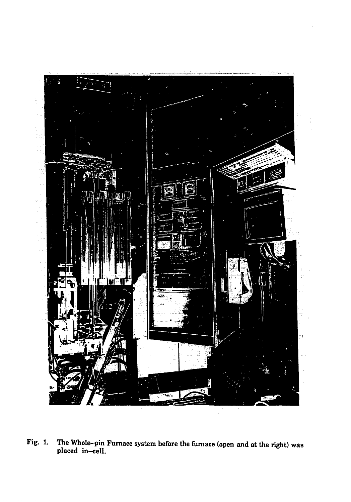

Fig. 1. The Whole-pin Furnace system before the furnace (open and at the right) was placed in-cell.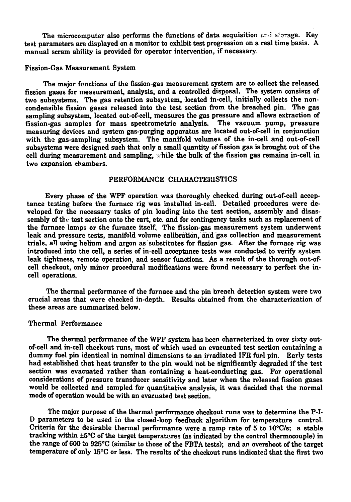The microcomputer also performs the functions of data acquisition  $ar\Delta$  storage. Key test parameters are displayed on a monitor to exhibit test progression on a real time basis. A manual scram ability is provided for operator intervention, if necessary.

#### Fission-Gas Measurement System

The major functions of the fission-gas measurement system are to collect the released fission gases for measurement, analysis, and a controlled disposal. The system consists of two subsystems. The gas retention subsystem, located in-cell, initially collects the noncondensible fission gases released into the test section from the breached pin. The gas sampling subsystem, located out-of-cell, measures the gas pressure and allows extraction of fission-gas samples for mass spectrometric analysis. The vacuum pump, pressure measuring devices and system gas-purging apparatus are located out-of-cell in conjunction with the gas-sampling subsystem. The manifold volumes of the in-cell and out-of-cell subsystems were designed such that only a small quantity of fission gas is brought out of the cell during measurement and sampling, while the bulk of the fission gas remains in-cell in two expansion chambers.

## PERFORMANCE CHARACTERISTICS

Every phase of the WPF operation was thoroughly checked during out-of-cell acceptance testing before the furnace rig was installed in-cell. Detailed procedures were developed for the necessary tasks of pin loading into the test section, assembly and disassembly of the test section onto the cart, etc. and for contingency tasks such as replacement of the furnace lamps or the furnace itself. The fission-gas measurement system underwent leak and pressure tests, manifold volume calibration, and gas collection and measurement trials, all using helium and argon as substitutes for fission gas. After the furnace rig was introduced into the cell, a series of in-cell acceptance tests was conducted to verify system leak tightness, remote operation, and sensor functions. As a result of the thorough out-ofcell checkout, only minor procedural modifications were found necessary to perfect the incell operations.

The thermal performance of the furnace and the pin breach detection system were two crucial areas that were checked in-depth. Results obtained from the characterization of these areas are summarized below.

## Thermal Performance

The thermal performance of the WPF system has been characterized in over sixty outof-cell and in-cell checkout runs, most of which used an evacuated test section containing a dummy fuel pin identical in nominal dimensions to an irradiated IFR fuel pin. Early tests had established that heat transfer to the pin would not be significantly degraded if the test section was evacuated rather than containing a heat-conducting gas. For operational considerations of pressure transducer sensitivity and later when the released fission gases would be collected and sampled for quantitative analysis, it was decided that the normal mode of operation would be with an evacuated test section.

The major purpose of the thermal performance checkout runs was to determine the P-I-D parameters to be used in the closed-loop feedback algorithm for temperature control. Criteria for the desirable thermal performance were a ramp rate of 5 to 10°C/s; a stable tracking within +5°C of the target temperatures (as indicated by the control thermocouple) in the range of 600 to 925°C (similar to those of the FBTA tests); and an overshoot of the target temperature of only 15°C or less. The results of the checkout runs indicated that the first two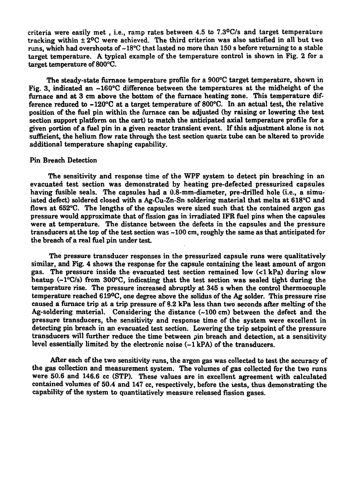**criteria were easily met , i.e., ramp rates between 4.5 to 7.3°C/s and target temperature tracking within ± 2°C were achieved. The third criterion was also satisfied in all but two runs, which had overshoots of ~18°C that lasted no more than 150 s before returning to a stable target temperature. A typical example of the temperature control is shown in Fig. 2 for a target temperature of 800°C.**

**The steady-state furnace temperature profile for a 900°C target temperature, shown in Fig. 3, indicated an -160°C difference between the temperatures at the midheight of the furnace and at 3 cm above the bottom of the furnace heating zone. This temperature difference reduced to -120°C at a target temperature of 800°C. In an actual test, the relative position of the fuel pin within the furnace can be adjusted (by raising or lowering the test section support platform on the cart) to match the anticipated axial temperature profile for a given portion of a fuel pin in a given reactor transient event. If this adjustment alone is not sufficient, the helium flow rate through the test section quartz tube can be altered to provide additional temperature shaping capability.**

#### **Pin Breach Detection**

**The sensitivity and response time of the WPF system to detect pin breaching in an evacuated test section was demonstrated by heating pre-defected pressurized capsules having fusible seals. The capsules had a 0.8-mm-diameter, pre-drilled hole (i.e., a simulated defect) soldered closed with a Ag-Cu-Zn-Sn soldering material that melts at 618°C and flows at 652°C. The lengths of the capsules were sized such that the contained argon gas pressure would approximate that of fission gas in irradiated IFR fuel pins when the capsules were at temperature. The distance between the defects in the capsules and the pressure transducers at the top of the test section was -100 cm, roughly the same as that anticipated for the breach of a real fuel pin under test.**

**The pressure transducer responses in the pressurized capsule runs were qualitatively similar, and Fig. 4 shows the response for the capsule containing the least amount of argon gas. The pressure inside the evacuated test section remained low (<lkPa) during slow heatup (~l°C/s) from 300°C, indicating that the test section was sealed tight during the temperature rise. The pressure increased abruptly at 345 s when the control thermocouple temperature reached 619°C, one degree above the solidus of the Ag solder. This pressure rise caused a furnace trip at a trip pressure of 8.2 kPa less than two seconds after melting of the Ag-soldering material. Considering the distance (~ 100 cm) between the defect and the pressure transducers, the sensitivity and response time of the system were excellent in detecting pin breach in an evacuated test section. Lowering the trip setpoint of the pressure transducers will further reduce the time between pin breach and detection, at a sensitivity level essentially limited by the electronic noise (-1 kPA) of the transducers.**

**After each cf the two sensitivity Tuns, the argon gas was collected to test the accuracy of the gas collection and measurement system. The volumes of gas collected for the two runs were 50.6 and 146.6 cc (STP). These values are in excellent agreement with calculated contained volumes of 50.4 and 147 cc, respectively, before the iests, thus demonstrating the capability of the system to quantitatively measure released fission gases.**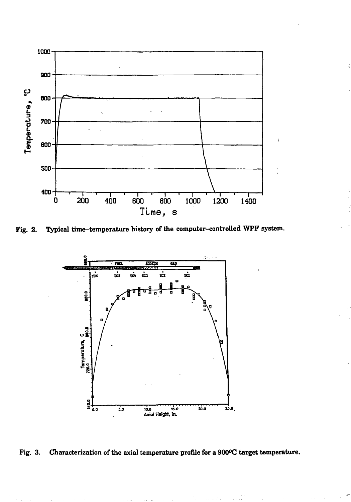

 $\mathbf{I}$ 

Fig. 2. Typical time-temperature history of the computer-controlled WPF system.



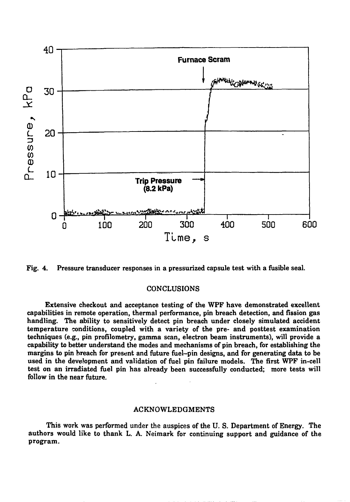



## CONCLUSIONS

Extensive checkout and acceptance testing of the WPF have demonstrated excellent capabilities in remote operation, thermal performance, pin breach detection, and fission gas handling. The ability to sensitively detect pin breach under closely simulated accident temperature conditions, coupled with a variety of the pre- and posttest examination techniques (e.g., pin profilometry, gamma scan, electron beam instruments), will provide a capability to better understand the modes and mechanisms of pin breach, for establishing the margins to pin breach for present and future fuel-pin designs, and for generating data to be used in the development and validation of fuel pin failure models. The first WPF in-cell test on an irradiated fuel pin has already been successfully conducted; more tests will follow in the near future.

## ACKNOWLEDGMENTS

This work was performed under the auspices of the U. S. Department of Energy. The authors would like to thank L. A. Neimark for continuing support and guidance of the program.